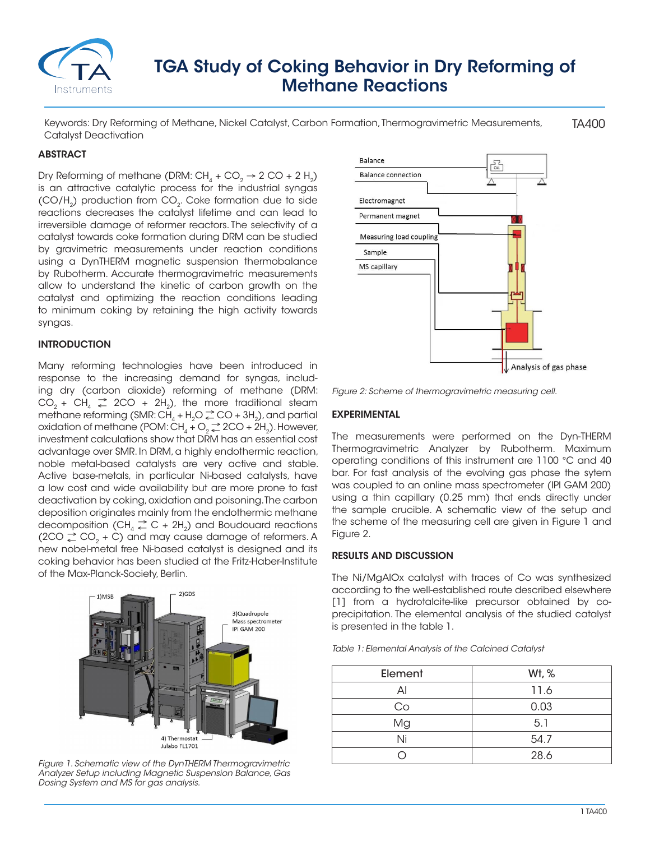

# TGA Study of Coking Behavior in Dry Reforming of Methane Reactions

TA400 Keywords: Dry Reforming of Methane, Nickel Catalyst, Carbon Formation, Thermogravimetric Measurements, Catalyst Deactivation

### **ABSTRACT**

Dry Reforming of methane (DRM:  $CH<sub>4</sub> + CO<sub>2</sub> \rightarrow 2 CO + 2 H<sub>2</sub>$ ) is an attractive catalytic process for the industrial syngas (CO/H<sub>2</sub>) production from CO<sub>2</sub>. Coke formation due to side reactions decreases the catalyst lifetime and can lead to irreversible damage of reformer reactors. The selectivity of a catalyst towards coke formation during DRM can be studied by gravimetric measurements under reaction conditions using a DynTHERM magnetic suspension thermobalance by Rubotherm. Accurate thermogravimetric measurements allow to understand the kinetic of carbon growth on the catalyst and optimizing the reaction conditions leading to minimum coking by retaining the high activity towards syngas.

#### INTRODUCTION

Many reforming technologies have been introduced in response to the increasing demand for syngas, including dry (carbon dioxide) reforming of methane (DRM:  $CO_2 + CH_4 \geq 2CO + 2H_2$ , the more traditional steam methane reforming (SMR: CH<sub>4</sub> + H<sub>2</sub>O  $\geq$  CO + 3H<sub>2</sub>), and partial oxidation of methane (POM:  $CH_4 + O_2 \rightleftharpoons$  2CO + 2H<sub>2</sub>). However, investment calculations show that DRM has an essential cost advantage over SMR. In DRM, a highly endothermic reaction, noble metal-based catalysts are very active and stable. Active base-metals, in particular Ni-based catalysts, have a low cost and wide availability but are more prone to fast deactivation by coking, oxidation and poisoning. The carbon deposition originates mainly from the endothermic methane decomposition  $(CH_4 \rightharpoonup^{\bullet} C + 2H_2)$  and Boudouard reactions  $(2CO \rvert^2 CO, + C)$  and may cause damage of reformers. A new nobel-metal free Ni-based catalyst is designed and its coking behavior has been studied at the Fritz-Haber-Institute of the Max-Planck-Society, Berlin.



*Figure 1. Schematic view of the DynTHERM Thermogravimetric Analyzer Setup including Magnetic Suspension Balance, Gas Dosing System and MS for gas analysis.*



*Figure 2: Scheme of thermogravimetric measuring cell.*

#### EXPERIMENTAL

The measurements were performed on the Dyn-THERM Thermogravimetric Analyzer by Rubotherm. Maximum operating conditions of this instrument are 1100 °C and 40 bar. For fast analysis of the evolving gas phase the sytem was coupled to an online mass spectrometer (IPI GAM 200) using a thin capillary (0.25 mm) that ends directly under the sample crucible. A schematic view of the setup and the scheme of the measuring cell are given in Figure 1 and Figure 2.

#### RESULTS AND DISCUSSION

The Ni/MgAlOx catalyst with traces of Co was synthesized according to the well-established route described elsewhere [1] from a hydrotalcite-like precursor obtained by coprecipitation. The elemental analysis of the studied catalyst is presented in the table 1.

| Element | Wt, % |
|---------|-------|
| Al      | 11.6  |
| Co      | 0.03  |
| Mg      | 5.1   |
| Ni      | 54.7  |
|         | 28.6  |